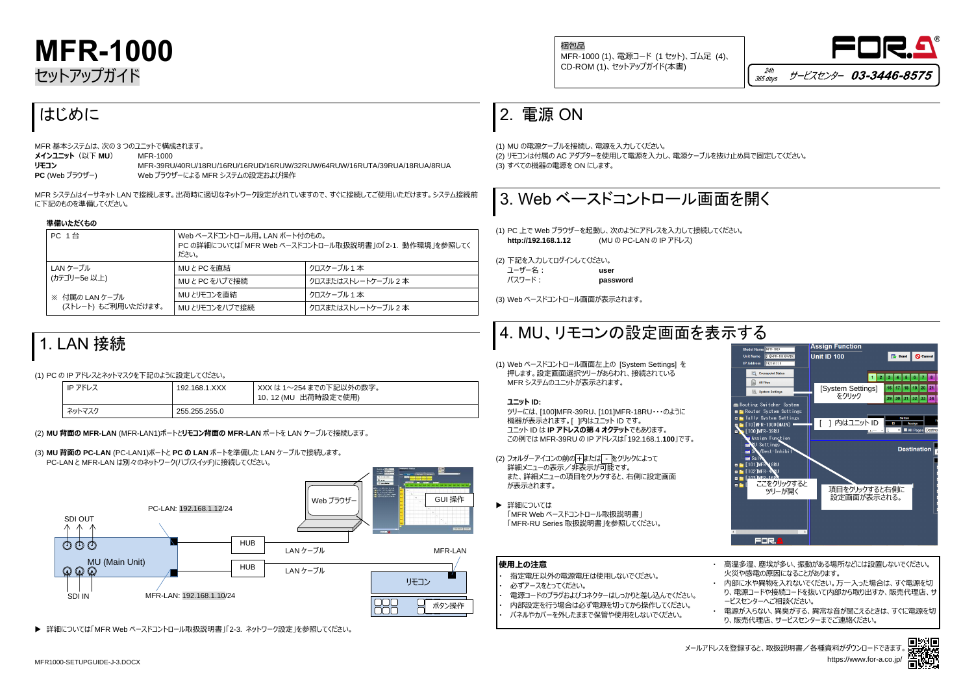



# **MFR-1000** セットアップガイド

## はじめに

MFR 基本システムは、次の 3 つのユニットで構成されます。 **メインユニット**(以下 **MU**) MFR-1000 **リモコン** MFR-39RU/40RU/18RU/16RU/16RUD/16RUW/32RUW/64RUW/16RUTA/39RUA/18RUA/8RUA **PC** (Web ブラウザー) Web ブラウザーによる MFR システムの設定および操作

MFR システムはイーサネット LAN で接続します。出荷時に適切なネットワーク設定がされていますので、すぐに接続してご使用いただけます。システム接続前 に下記のものを準備してください。

### **準備いただくもの**

| <b>PC 1台</b>        | Web ベースドコントロール用。 LAN ポート付のもの。<br>PC の詳細については「MFR Web ベースドコントロール取扱説明書」の「2-1. 動作環境」を参照してく<br>ださい。 |                     |
|---------------------|-------------------------------------------------------------------------------------------------|---------------------|
| LAN ケーブル            | MUとPCを直結                                                                                        | クロスケーブル 1 本         |
| (カテゴリー5e 以上)        | MUとPC をハブで接続                                                                                    | クロスまたはストレートケーブル 2 本 |
| ※ 付属の LAN ケーブル      | MU とリモコンを直結                                                                                     | クロスケーブル 1 本         |
| (ストレート) もご利用いただけます。 | MU とリモコンをハブで接続                                                                                  | クロスまたはストレートケーブル 2 本 |

### 1. LAN 接続

### (1) PC の IP アドレスとネットマスクを下記のように設定してください。

| IP アドレス | 192.168.1.XXX | XXX は 1〜254 までの下記以外の数字。<br>10、12 (MU 出荷時設定で使用) |
|---------|---------------|------------------------------------------------|
| ネットマスク  | 255.255.255.0 |                                                |

### (2) **MU 背面の MFR-LAN** (MFR-LAN1)ポートと**リモコン背面の MFR-LAN** ポートを LAN ケーブルで接続します。

(2) フォルダーアイコンの前の+または - をクリックによって 詳細メニューの表示/非表示が可能です。 また、詳細メニューの項目をクリックすると、右側に設定画面 が表示されます。

▶ 詳細については 「MFR Web ベースドコントロール取扱説明書」 「MFR-RU Series 取扱説明書」を参照してください。

(3) **MU 背面の PC-LAN** (PC-LAN1)ポートと **PC の LAN** ポートを準備した LAN ケーブルで接続します。 PC-LAN と MFR-LAN は別々のネットワーク(ハブ/スイッチ)に接続してください。

詳細については「MFR Web ベースドコントロール取扱説明書」「2-3. ネットワーク設定」を参照してください。

多湿、塵埃が多い、振動がある場所などには設置しないでください。 火災や感電の原因になることがあります。

### 2. 電源 ON

こ水や異物を入れないでください。万一入った場合は、すぐ電源を切 源コードや接続コードを抜いて内部から取り出すか、販売代理店、サ ービスセンターへご相談ください。

が入らない、異臭がする、異常な音が聞こえるときは、すぐに電源を切 売代理店、サービスセンターまでご連絡ください。

(1) MU の電源ケーブルを接続し、電源を入力してください。 (2) リモコンは付属の AC アダプターを使用して電源を入力し、電源ケーブルを抜け止め具で固定してください。 (3) すべての機器の電源を ON にします。



(1) PC 上で Web ブラウザーを起動し、次のようにアドレスを入力して接続してください。 **http://192.168.1.12** (MU の PC-LAN の IP アドレス)

(2) 下記を入力してログインしてください。 ユーザー名: **user** パスワード: **password**

(3) Web ベースドコントロール画面が表示されます。

## 4. MU、リモコンの設定画面を表示する

(1) Web ベースドコントロール画面左上の [System Settings] を 押します。設定画面選択ツリーがあらわれ、接続されている MFR システムのユニットが表示されます。

### **ユニット ID:**

ツリーには、[100]MFR-39RU、[101]MFR-18RU・・・のように 機器が表示されます。[ ]内はユニット ID です。 ユニット ID は **IP アドレスの第 4 オクテット**でもあります。 この例では MFR-39RU の IP アドレスは「192.168.1.**100**」です。

| 使用上の注意                                                                                                                                           | 高温多                               |   |
|--------------------------------------------------------------------------------------------------------------------------------------------------|-----------------------------------|---|
| 指定電圧以外の電源電圧は使用しないでください。<br>必ずアースをとってください。<br>電源コードのプラグおよびコネクターはしっかりと差し込んでください。<br>内部設定を行う場合は必ず電源を切ってから操作してください。<br>パネルやカバーを外したままで保管や使用をしないでください。 | 火災や<br>内部に<br>り、雷)<br>ードスー<br>電源力 | 販 |





メールアドレスを登録すると、取扱説明書/各種資料がダウンロードできます。 https://www.for-a.co.jp/



梱包品 MFR-1000 (1)、電源コード (1 セット)、ゴム足 (4)、 CD-ROM (1)、セットアップガイド(本書)